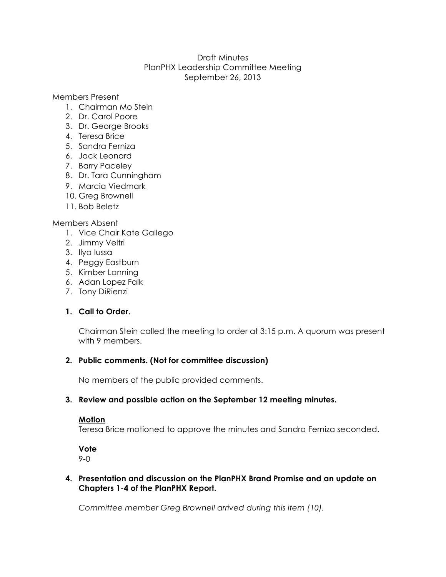## Draft Minutes PlanPHX Leadership Committee Meeting September 26, 2013

Members Present

- 1. Chairman Mo Stein
- 2. Dr. Carol Poore
- 3. Dr. George Brooks
- 4. Teresa Brice
- 5. Sandra Ferniza
- 6. Jack Leonard
- 7. Barry Paceley
- 8. Dr. Tara Cunningham
- 9. Marcia Viedmark
- 10. Greg Brownell
- 11. Bob Beletz

#### Members Absent

- 1. Vice Chair Kate Gallego
- 2. Jimmy Veltri
- 3. Ilya Iussa
- 4. Peggy Eastburn
- 5. Kimber Lanning
- 6. Adan Lopez Falk
- 7. Tony DiRienzi

# **1. Call to Order.**

Chairman Stein called the meeting to order at 3:15 p.m. A quorum was present with 9 members.

#### **2. Public comments. (Not for committee discussion)**

No members of the public provided comments.

#### **3. Review and possible action on the September 12 meeting minutes.**

#### **Motion**

Teresa Brice motioned to approve the minutes and Sandra Ferniza seconded.

# **Vote**

9-0

## **4. Presentation and discussion on the PlanPHX Brand Promise and an update on Chapters 1-4 of the PlanPHX Report.**

*Committee member Greg Brownell arrived during this item (10).*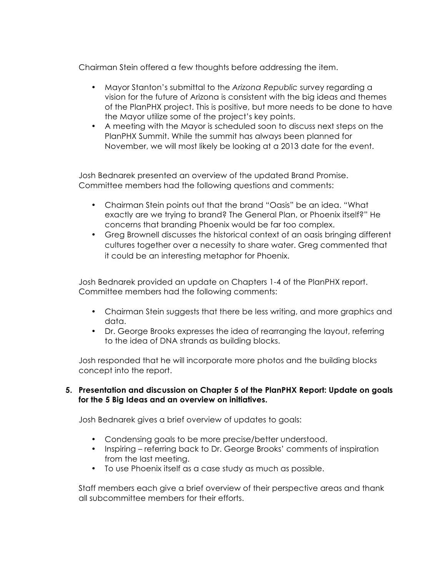Chairman Stein offered a few thoughts before addressing the item.

- Mayor Stanton's submittal to the *Arizona Republic* survey regarding a vision for the future of Arizona is consistent with the big ideas and themes of the PlanPHX project. This is positive, but more needs to be done to have the Mayor utilize some of the project's key points.
- A meeting with the Mayor is scheduled soon to discuss next steps on the PlanPHX Summit. While the summit has always been planned for November, we will most likely be looking at a 2013 date for the event.

Josh Bednarek presented an overview of the updated Brand Promise. Committee members had the following questions and comments:

- Chairman Stein points out that the brand "Oasis" be an idea. "What exactly are we trying to brand? The General Plan, or Phoenix itself?" He concerns that branding Phoenix would be far too complex.
- Greg Brownell discusses the historical context of an oasis bringing different cultures together over a necessity to share water. Greg commented that it could be an interesting metaphor for Phoenix.

Josh Bednarek provided an update on Chapters 1-4 of the PlanPHX report. Committee members had the following comments:

- Chairman Stein suggests that there be less writing, and more graphics and data.
- Dr. George Brooks expresses the idea of rearranging the layout, referring to the idea of DNA strands as building blocks.

Josh responded that he will incorporate more photos and the building blocks concept into the report.

## **5. Presentation and discussion on Chapter 5 of the PlanPHX Report: Update on goals for the 5 Big Ideas and an overview on initiatives.**

Josh Bednarek gives a brief overview of updates to goals:

- Condensing goals to be more precise/better understood.
- Inspiring referring back to Dr. George Brooks' comments of inspiration from the last meeting.
- To use Phoenix itself as a case study as much as possible.

Staff members each give a brief overview of their perspective areas and thank all subcommittee members for their efforts.